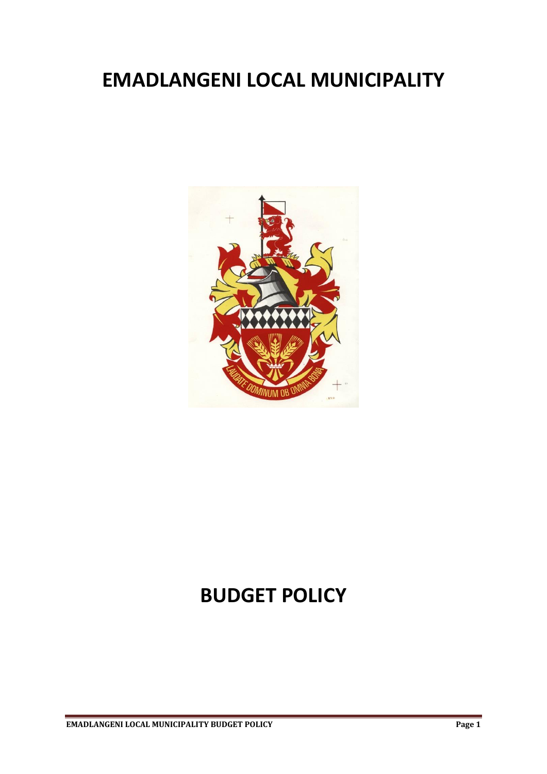# **EMADLANGENI LOCAL MUNICIPALITY**



# **BUDGET POLICY**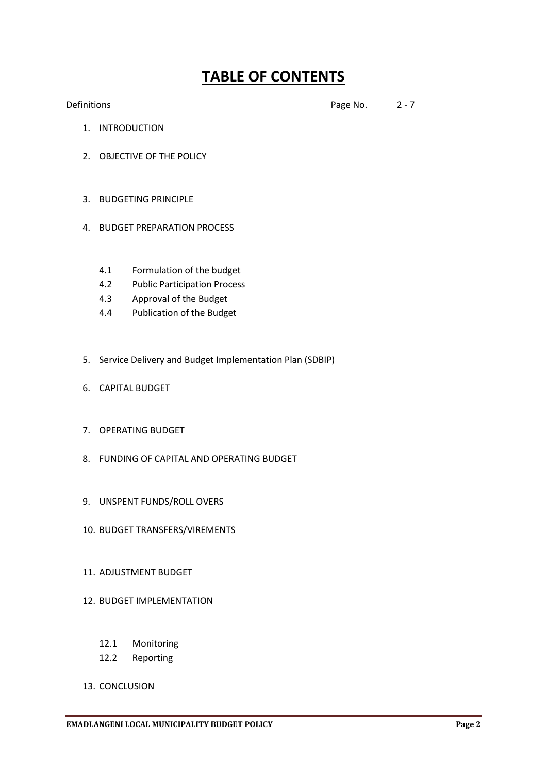# **TABLE OF CONTENTS**

Definitions 2 - 7

- 1. INTRODUCTION
- 2. OBJECTIVE OF THE POLICY
- 3. BUDGETING PRINCIPLE
- 4. BUDGET PREPARATION PROCESS
	- 4.1 Formulation of the budget
	- 4.2 Public Participation Process
	- 4.3 Approval of the Budget
	- 4.4 Publication of the Budget
- 5. Service Delivery and Budget Implementation Plan (SDBIP)
- 6. CAPITAL BUDGET
- 7. OPERATING BUDGET
- 8. FUNDING OF CAPITAL AND OPERATING BUDGET
- 9. UNSPENT FUNDS/ROLL OVERS
- 10. BUDGET TRANSFERS/VIREMENTS
- 11. ADJUSTMENT BUDGET
- 12. BUDGET IMPLEMENTATION
	- 12.1 Monitoring
	- 12.2 Reporting
- 13. CONCLUSION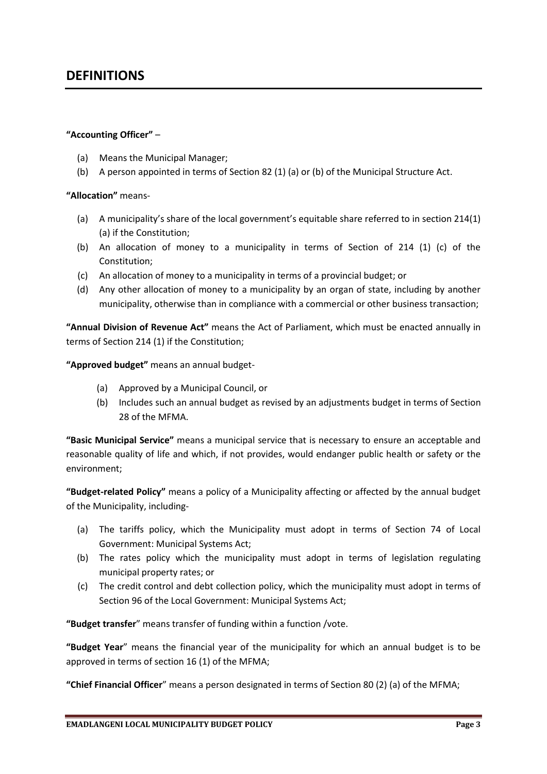# **DEFINITIONS**

#### **"Accounting Officer"** –

- (a) Means the Municipal Manager;
- (b) A person appointed in terms of Section 82 (1) (a) or (b) of the Municipal Structure Act.

#### **"Allocation"** means-

- (a) A municipality's share of the local government's equitable share referred to in section 214(1) (a) if the Constitution;
- (b) An allocation of money to a municipality in terms of Section of 214 (1) (c) of the Constitution;
- (c) An allocation of money to a municipality in terms of a provincial budget; or
- (d) Any other allocation of money to a municipality by an organ of state, including by another municipality, otherwise than in compliance with a commercial or other business transaction;

**"Annual Division of Revenue Act"** means the Act of Parliament, which must be enacted annually in terms of Section 214 (1) if the Constitution;

**"Approved budget"** means an annual budget-

- (a) Approved by a Municipal Council, or
- (b) Includes such an annual budget as revised by an adjustments budget in terms of Section 28 of the MFMA.

**"Basic Municipal Service"** means a municipal service that is necessary to ensure an acceptable and reasonable quality of life and which, if not provides, would endanger public health or safety or the environment;

**"Budget-related Policy"** means a policy of a Municipality affecting or affected by the annual budget of the Municipality, including-

- (a) The tariffs policy, which the Municipality must adopt in terms of Section 74 of Local Government: Municipal Systems Act;
- (b) The rates policy which the municipality must adopt in terms of legislation regulating municipal property rates; or
- (c) The credit control and debt collection policy, which the municipality must adopt in terms of Section 96 of the Local Government: Municipal Systems Act;

**"Budget transfer**" means transfer of funding within a function /vote.

**"Budget Year**" means the financial year of the municipality for which an annual budget is to be approved in terms of section 16 (1) of the MFMA;

**"Chief Financial Officer**" means a person designated in terms of Section 80 (2) (a) of the MFMA;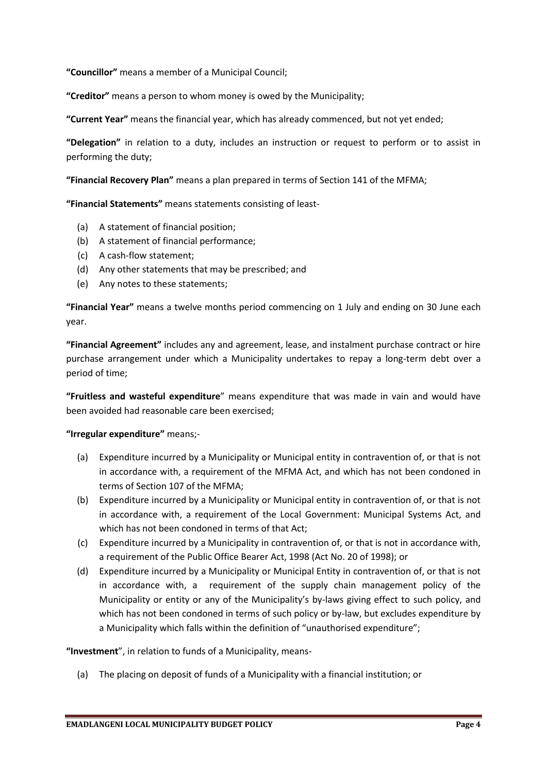**"Councillor"** means a member of a Municipal Council;

**"Creditor"** means a person to whom money is owed by the Municipality;

**"Current Year"** means the financial year, which has already commenced, but not yet ended;

**"Delegation"** in relation to a duty, includes an instruction or request to perform or to assist in performing the duty;

**"Financial Recovery Plan"** means a plan prepared in terms of Section 141 of the MFMA;

**"Financial Statements"** means statements consisting of least-

- (a) A statement of financial position;
- (b) A statement of financial performance;
- (c) A cash-flow statement;
- (d) Any other statements that may be prescribed; and
- (e) Any notes to these statements;

**"Financial Year"** means a twelve months period commencing on 1 July and ending on 30 June each year.

**"Financial Agreement"** includes any and agreement, lease, and instalment purchase contract or hire purchase arrangement under which a Municipality undertakes to repay a long-term debt over a period of time;

**"Fruitless and wasteful expenditure**" means expenditure that was made in vain and would have been avoided had reasonable care been exercised;

#### **"Irregular expenditure"** means;-

- (a) Expenditure incurred by a Municipality or Municipal entity in contravention of, or that is not in accordance with, a requirement of the MFMA Act, and which has not been condoned in terms of Section 107 of the MFMA;
- (b) Expenditure incurred by a Municipality or Municipal entity in contravention of, or that is not in accordance with, a requirement of the Local Government: Municipal Systems Act, and which has not been condoned in terms of that Act;
- (c) Expenditure incurred by a Municipality in contravention of, or that is not in accordance with, a requirement of the Public Office Bearer Act, 1998 (Act No. 20 of 1998); or
- (d) Expenditure incurred by a Municipality or Municipal Entity in contravention of, or that is not in accordance with, a requirement of the supply chain management policy of the Municipality or entity or any of the Municipality's by-laws giving effect to such policy, and which has not been condoned in terms of such policy or by-law, but excludes expenditure by a Municipality which falls within the definition of "unauthorised expenditure";

**"Investment**", in relation to funds of a Municipality, means-

(a) The placing on deposit of funds of a Municipality with a financial institution; or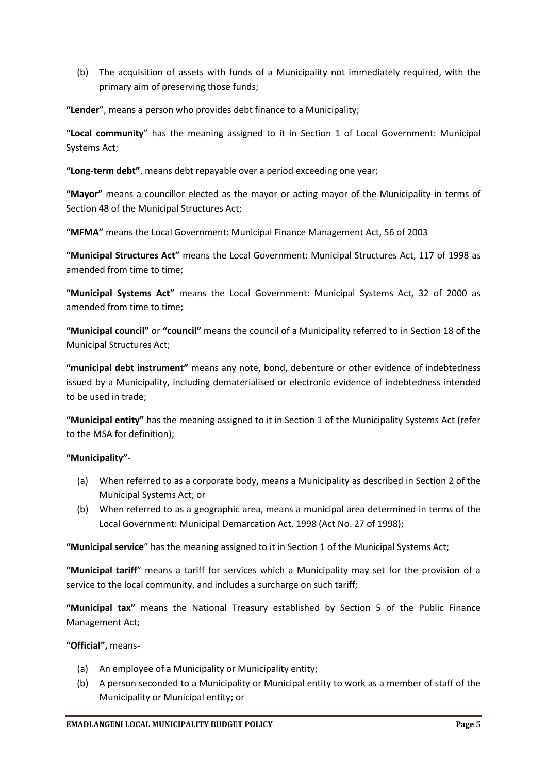(b) The acquisition of assets with funds of a Municipality not immediately required, with the primary aim of preserving those funds;

**"Lender**", means a person who provides debt finance to a Municipality;

**"Local community**" has the meaning assigned to it in Section 1 of Local Government: Municipal Systems Act;

**"Long-term debt"**, means debt repayable over a period exceeding one year;

**"Mayor"** means a councillor elected as the mayor or acting mayor of the Municipality in terms of Section 48 of the Municipal Structures Act;

**"MFMA"** means the Local Government: Municipal Finance Management Act, 56 of 2003

**"Municipal Structures Act"** means the Local Government: Municipal Structures Act, 117 of 1998 as amended from time to time;

**"Municipal Systems Act"** means the Local Government: Municipal Systems Act, 32 of 2000 as amended from time to time;

**"Municipal council"** or **"council"** means the council of a Municipality referred to in Section 18 of the Municipal Structures Act;

**"municipal debt instrument"** means any note, bond, debenture or other evidence of indebtedness issued by a Municipality, including dematerialised or electronic evidence of indebtedness intended to be used in trade;

**"Municipal entity"** has the meaning assigned to it in Section 1 of the Municipality Systems Act (refer to the MSA for definition);

#### **"Municipality"**-

- (a) When referred to as a corporate body, means a Municipality as described in Section 2 of the Municipal Systems Act; or
- (b) When referred to as a geographic area, means a municipal area determined in terms of the Local Government: Municipal Demarcation Act, 1998 (Act No. 27 of 1998);

**"Municipal service**" has the meaning assigned to it in Section 1 of the Municipal Systems Act;

**"Municipal tariff**" means a tariff for services which a Municipality may set for the provision of a service to the local community, and includes a surcharge on such tariff;

**"Municipal tax"** means the National Treasury established by Section 5 of the Public Finance Management Act;

**"Official",** means-

- (a) An employee of a Municipality or Municipality entity;
- (b) A person seconded to a Municipality or Municipal entity to work as a member of staff of the Municipality or Municipal entity; or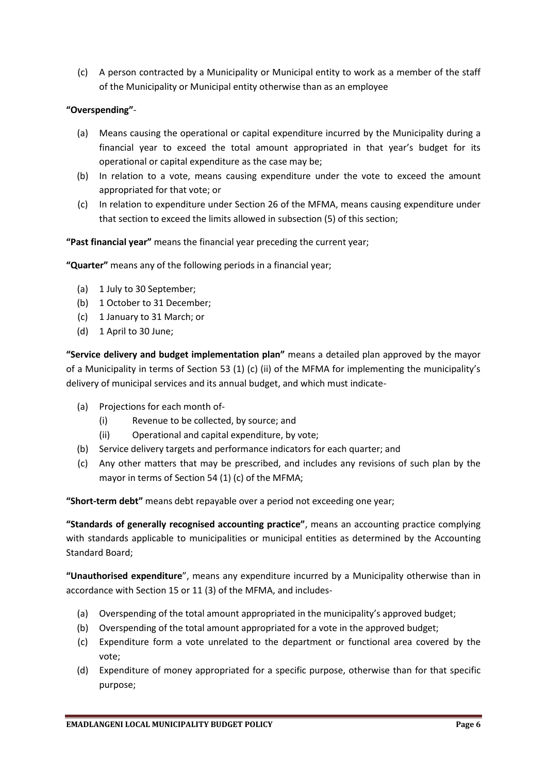(c) A person contracted by a Municipality or Municipal entity to work as a member of the staff of the Municipality or Municipal entity otherwise than as an employee

#### **"Overspending"**-

- (a) Means causing the operational or capital expenditure incurred by the Municipality during a financial year to exceed the total amount appropriated in that year's budget for its operational or capital expenditure as the case may be;
- (b) In relation to a vote, means causing expenditure under the vote to exceed the amount appropriated for that vote; or
- (c) In relation to expenditure under Section 26 of the MFMA, means causing expenditure under that section to exceed the limits allowed in subsection (5) of this section;

**"Past financial year"** means the financial year preceding the current year;

**"Quarter"** means any of the following periods in a financial year;

- (a) 1 July to 30 September;
- (b) 1 October to 31 December;
- (c) 1 January to 31 March; or
- (d) 1 April to 30 June;

**"Service delivery and budget implementation plan"** means a detailed plan approved by the mayor of a Municipality in terms of Section 53 (1) (c) (ii) of the MFMA for implementing the municipality's delivery of municipal services and its annual budget, and which must indicate-

- (a) Projections for each month of-
	- (i) Revenue to be collected, by source; and
	- (ii) Operational and capital expenditure, by vote;
- (b) Service delivery targets and performance indicators for each quarter; and
- (c) Any other matters that may be prescribed, and includes any revisions of such plan by the mayor in terms of Section 54 (1) (c) of the MFMA;

**"Short-term debt"** means debt repayable over a period not exceeding one year;

**"Standards of generally recognised accounting practice"**, means an accounting practice complying with standards applicable to municipalities or municipal entities as determined by the Accounting Standard Board;

**"Unauthorised expenditure**", means any expenditure incurred by a Municipality otherwise than in accordance with Section 15 or 11 (3) of the MFMA, and includes-

- (a) Overspending of the total amount appropriated in the municipality's approved budget;
- (b) Overspending of the total amount appropriated for a vote in the approved budget;
- (c) Expenditure form a vote unrelated to the department or functional area covered by the vote;
- (d) Expenditure of money appropriated for a specific purpose, otherwise than for that specific purpose;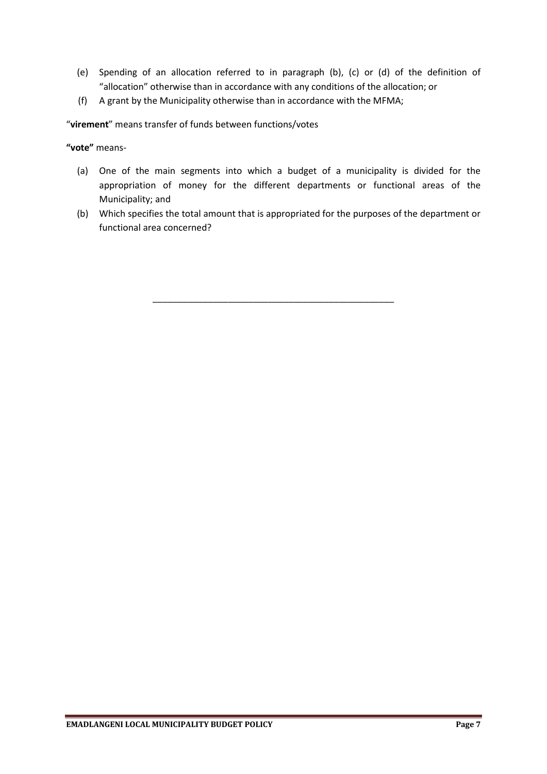- (e) Spending of an allocation referred to in paragraph (b), (c) or (d) of the definition of "allocation" otherwise than in accordance with any conditions of the allocation; or
- (f) A grant by the Municipality otherwise than in accordance with the MFMA;

"**virement**" means transfer of funds between functions/votes

**"vote"** means-

- (a) One of the main segments into which a budget of a municipality is divided for the appropriation of money for the different departments or functional areas of the Municipality; and
- (b) Which specifies the total amount that is appropriated for the purposes of the department or functional area concerned?

\_\_\_\_\_\_\_\_\_\_\_\_\_\_\_\_\_\_\_\_\_\_\_\_\_\_\_\_\_\_\_\_\_\_\_\_\_\_\_\_\_\_\_\_\_\_\_\_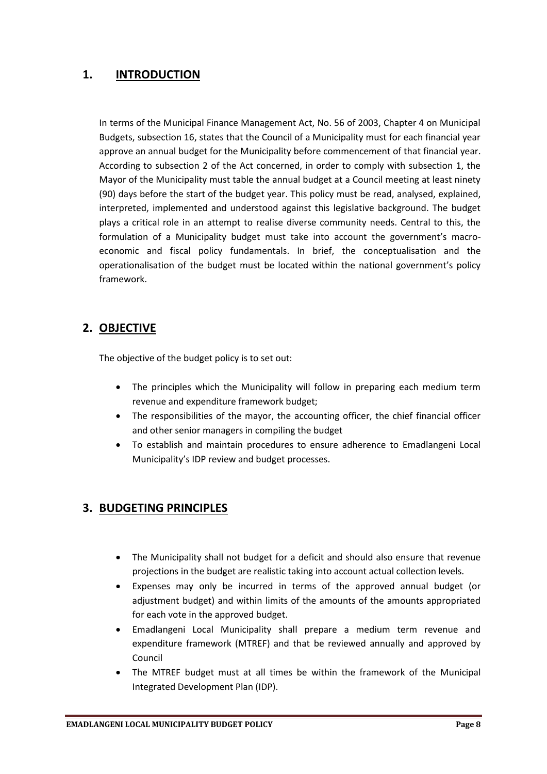# **1. INTRODUCTION**

In terms of the Municipal Finance Management Act, No. 56 of 2003, Chapter 4 on Municipal Budgets, subsection 16, states that the Council of a Municipality must for each financial year approve an annual budget for the Municipality before commencement of that financial year. According to subsection 2 of the Act concerned, in order to comply with subsection 1, the Mayor of the Municipality must table the annual budget at a Council meeting at least ninety (90) days before the start of the budget year. This policy must be read, analysed, explained, interpreted, implemented and understood against this legislative background. The budget plays a critical role in an attempt to realise diverse community needs. Central to this, the formulation of a Municipality budget must take into account the government's macroeconomic and fiscal policy fundamentals. In brief, the conceptualisation and the operationalisation of the budget must be located within the national government's policy framework.

# **2. OBJECTIVE**

The objective of the budget policy is to set out:

- The principles which the Municipality will follow in preparing each medium term revenue and expenditure framework budget;
- The responsibilities of the mayor, the accounting officer, the chief financial officer and other senior managers in compiling the budget
- To establish and maintain procedures to ensure adherence to Emadlangeni Local Municipality's IDP review and budget processes.

# **3. BUDGETING PRINCIPLES**

- The Municipality shall not budget for a deficit and should also ensure that revenue projections in the budget are realistic taking into account actual collection levels.
- Expenses may only be incurred in terms of the approved annual budget (or adjustment budget) and within limits of the amounts of the amounts appropriated for each vote in the approved budget.
- Emadlangeni Local Municipality shall prepare a medium term revenue and expenditure framework (MTREF) and that be reviewed annually and approved by Council
- The MTREF budget must at all times be within the framework of the Municipal Integrated Development Plan (IDP).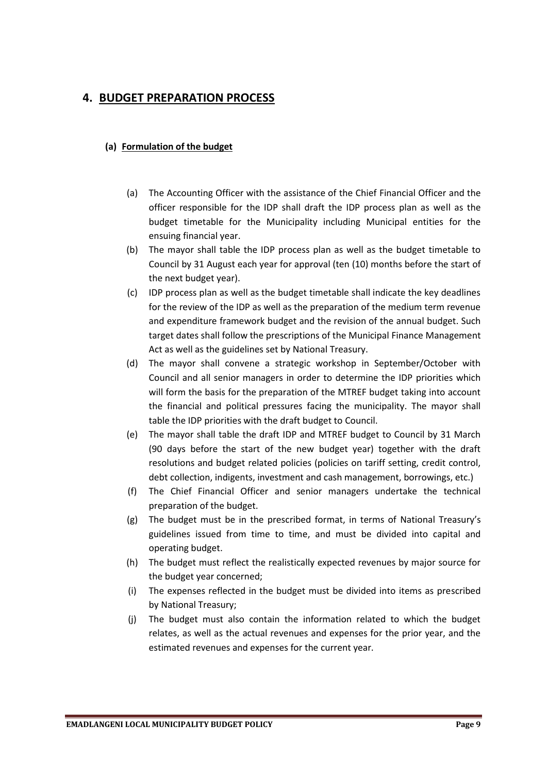# **4. BUDGET PREPARATION PROCESS**

#### **(a) Formulation of the budget**

- (a) The Accounting Officer with the assistance of the Chief Financial Officer and the officer responsible for the IDP shall draft the IDP process plan as well as the budget timetable for the Municipality including Municipal entities for the ensuing financial year.
- (b) The mayor shall table the IDP process plan as well as the budget timetable to Council by 31 August each year for approval (ten (10) months before the start of the next budget year).
- (c) IDP process plan as well as the budget timetable shall indicate the key deadlines for the review of the IDP as well as the preparation of the medium term revenue and expenditure framework budget and the revision of the annual budget. Such target dates shall follow the prescriptions of the Municipal Finance Management Act as well as the guidelines set by National Treasury.
- (d) The mayor shall convene a strategic workshop in September/October with Council and all senior managers in order to determine the IDP priorities which will form the basis for the preparation of the MTREF budget taking into account the financial and political pressures facing the municipality. The mayor shall table the IDP priorities with the draft budget to Council.
- (e) The mayor shall table the draft IDP and MTREF budget to Council by 31 March (90 days before the start of the new budget year) together with the draft resolutions and budget related policies (policies on tariff setting, credit control, debt collection, indigents, investment and cash management, borrowings, etc.)
- (f) The Chief Financial Officer and senior managers undertake the technical preparation of the budget.
- (g) The budget must be in the prescribed format, in terms of National Treasury's guidelines issued from time to time, and must be divided into capital and operating budget.
- (h) The budget must reflect the realistically expected revenues by major source for the budget year concerned;
- (i) The expenses reflected in the budget must be divided into items as prescribed by National Treasury;
- (j) The budget must also contain the information related to which the budget relates, as well as the actual revenues and expenses for the prior year, and the estimated revenues and expenses for the current year.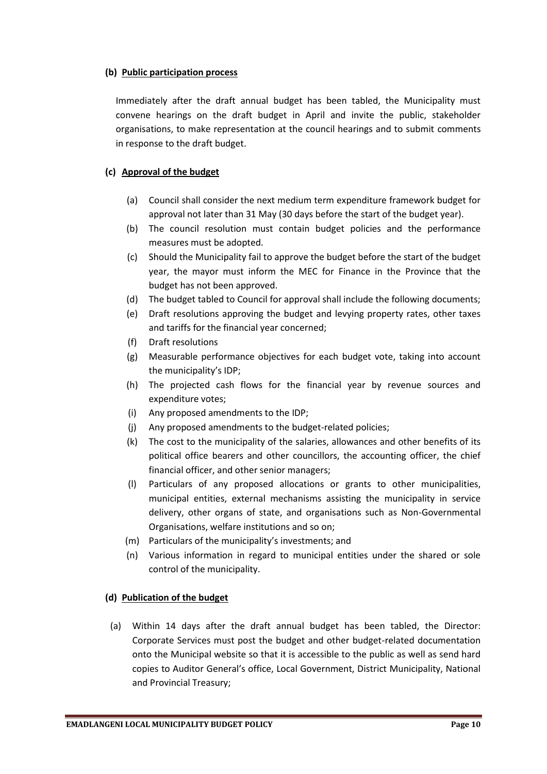#### **(b) Public participation process**

Immediately after the draft annual budget has been tabled, the Municipality must convene hearings on the draft budget in April and invite the public, stakeholder organisations, to make representation at the council hearings and to submit comments in response to the draft budget.

# **(c) Approval of the budget**

- (a) Council shall consider the next medium term expenditure framework budget for approval not later than 31 May (30 days before the start of the budget year).
- (b) The council resolution must contain budget policies and the performance measures must be adopted.
- (c) Should the Municipality fail to approve the budget before the start of the budget year, the mayor must inform the MEC for Finance in the Province that the budget has not been approved.
- (d) The budget tabled to Council for approval shall include the following documents;
- (e) Draft resolutions approving the budget and levying property rates, other taxes and tariffs for the financial year concerned;
- (f) Draft resolutions
- (g) Measurable performance objectives for each budget vote, taking into account the municipality's IDP;
- (h) The projected cash flows for the financial year by revenue sources and expenditure votes;
- (i) Any proposed amendments to the IDP;
- (j) Any proposed amendments to the budget-related policies;
- (k) The cost to the municipality of the salaries, allowances and other benefits of its political office bearers and other councillors, the accounting officer, the chief financial officer, and other senior managers;
- (l) Particulars of any proposed allocations or grants to other municipalities, municipal entities, external mechanisms assisting the municipality in service delivery, other organs of state, and organisations such as Non-Governmental Organisations, welfare institutions and so on;
- (m) Particulars of the municipality's investments; and
- (n) Various information in regard to municipal entities under the shared or sole control of the municipality.

## **(d) Publication of the budget**

(a) Within 14 days after the draft annual budget has been tabled, the Director: Corporate Services must post the budget and other budget-related documentation onto the Municipal website so that it is accessible to the public as well as send hard copies to Auditor General's office, Local Government, District Municipality, National and Provincial Treasury;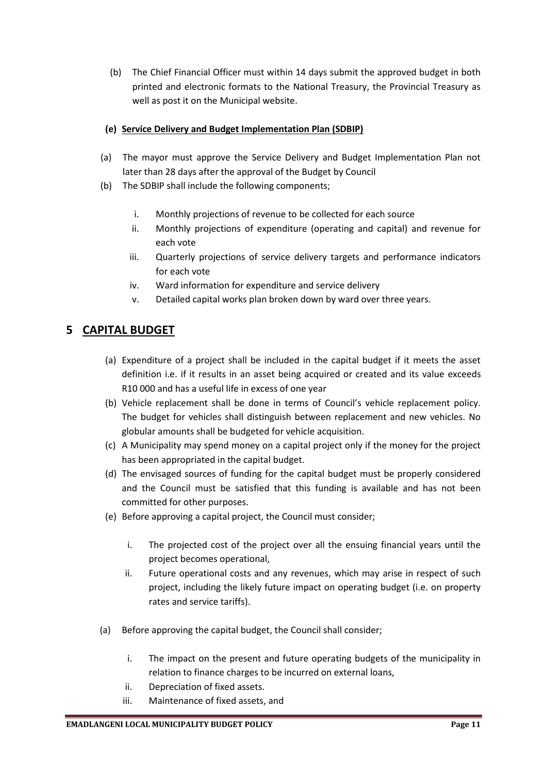(b) The Chief Financial Officer must within 14 days submit the approved budget in both printed and electronic formats to the National Treasury, the Provincial Treasury as well as post it on the Municipal website.

# **(e) Service Delivery and Budget Implementation Plan (SDBIP)**

- (a) The mayor must approve the Service Delivery and Budget Implementation Plan not later than 28 days after the approval of the Budget by Council
- (b) The SDBIP shall include the following components;
	- i. Monthly projections of revenue to be collected for each source
	- ii. Monthly projections of expenditure (operating and capital) and revenue for each vote
	- iii. Quarterly projections of service delivery targets and performance indicators for each vote
	- iv. Ward information for expenditure and service delivery
	- v. Detailed capital works plan broken down by ward over three years.

# **5 CAPITAL BUDGET**

- (a) Expenditure of a project shall be included in the capital budget if it meets the asset definition i.e. if it results in an asset being acquired or created and its value exceeds R10 000 and has a useful life in excess of one year
- (b) Vehicle replacement shall be done in terms of Council's vehicle replacement policy. The budget for vehicles shall distinguish between replacement and new vehicles. No globular amounts shall be budgeted for vehicle acquisition.
- (c) A Municipality may spend money on a capital project only if the money for the project has been appropriated in the capital budget.
- (d) The envisaged sources of funding for the capital budget must be properly considered and the Council must be satisfied that this funding is available and has not been committed for other purposes.
- (e) Before approving a capital project, the Council must consider;
	- i. The projected cost of the project over all the ensuing financial years until the project becomes operational,
	- ii. Future operational costs and any revenues, which may arise in respect of such project, including the likely future impact on operating budget (i.e. on property rates and service tariffs).
- (a) Before approving the capital budget, the Council shall consider;
	- i. The impact on the present and future operating budgets of the municipality in relation to finance charges to be incurred on external loans,
	- ii. Depreciation of fixed assets.
	- iii. Maintenance of fixed assets, and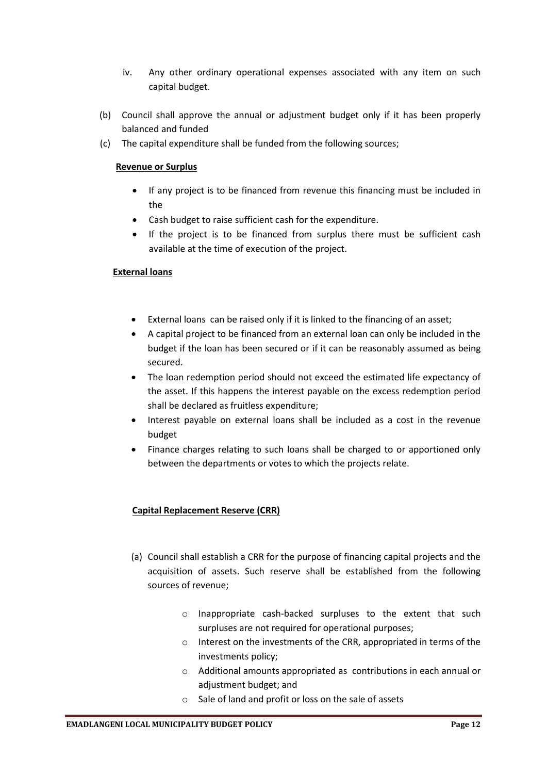- iv. Any other ordinary operational expenses associated with any item on such capital budget.
- (b) Council shall approve the annual or adjustment budget only if it has been properly balanced and funded
- (c) The capital expenditure shall be funded from the following sources;

## **Revenue or Surplus**

- If any project is to be financed from revenue this financing must be included in the
- Cash budget to raise sufficient cash for the expenditure.
- If the project is to be financed from surplus there must be sufficient cash available at the time of execution of the project.

## **External loans**

- External loans can be raised only if it is linked to the financing of an asset;
- A capital project to be financed from an external loan can only be included in the budget if the loan has been secured or if it can be reasonably assumed as being secured.
- The loan redemption period should not exceed the estimated life expectancy of the asset. If this happens the interest payable on the excess redemption period shall be declared as fruitless expenditure;
- Interest payable on external loans shall be included as a cost in the revenue budget
- Finance charges relating to such loans shall be charged to or apportioned only between the departments or votes to which the projects relate.

## **Capital Replacement Reserve (CRR)**

- (a) Council shall establish a CRR for the purpose of financing capital projects and the acquisition of assets. Such reserve shall be established from the following sources of revenue;
	- o Inappropriate cash-backed surpluses to the extent that such surpluses are not required for operational purposes;
	- o Interest on the investments of the CRR, appropriated in terms of the investments policy;
	- o Additional amounts appropriated as contributions in each annual or adjustment budget; and
	- o Sale of land and profit or loss on the sale of assets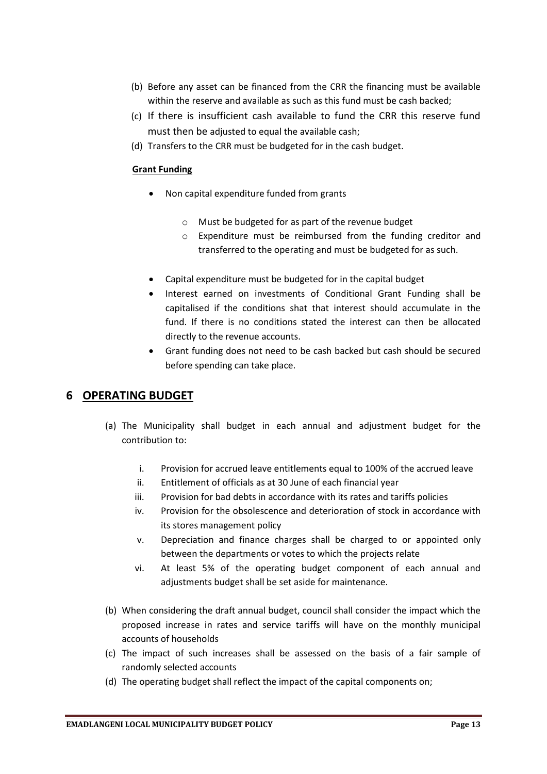- (b) Before any asset can be financed from the CRR the financing must be available within the reserve and available as such as this fund must be cash backed;
- (c) If there is insufficient cash available to fund the CRR this reserve fund must then be adjusted to equal the available cash;
- (d) Transfers to the CRR must be budgeted for in the cash budget.

# **Grant Funding**

- Non capital expenditure funded from grants
	- o Must be budgeted for as part of the revenue budget
	- o Expenditure must be reimbursed from the funding creditor and transferred to the operating and must be budgeted for as such.
- Capital expenditure must be budgeted for in the capital budget
- Interest earned on investments of Conditional Grant Funding shall be capitalised if the conditions shat that interest should accumulate in the fund. If there is no conditions stated the interest can then be allocated directly to the revenue accounts.
- Grant funding does not need to be cash backed but cash should be secured before spending can take place.

# **6 OPERATING BUDGET**

- (a) The Municipality shall budget in each annual and adjustment budget for the contribution to:
	- i. Provision for accrued leave entitlements equal to 100% of the accrued leave
	- ii. Entitlement of officials as at 30 June of each financial year
	- iii. Provision for bad debts in accordance with its rates and tariffs policies
	- iv. Provision for the obsolescence and deterioration of stock in accordance with its stores management policy
	- v. Depreciation and finance charges shall be charged to or appointed only between the departments or votes to which the projects relate
	- vi. At least 5% of the operating budget component of each annual and adjustments budget shall be set aside for maintenance.
- (b) When considering the draft annual budget, council shall consider the impact which the proposed increase in rates and service tariffs will have on the monthly municipal accounts of households
- (c) The impact of such increases shall be assessed on the basis of a fair sample of randomly selected accounts
- (d) The operating budget shall reflect the impact of the capital components on;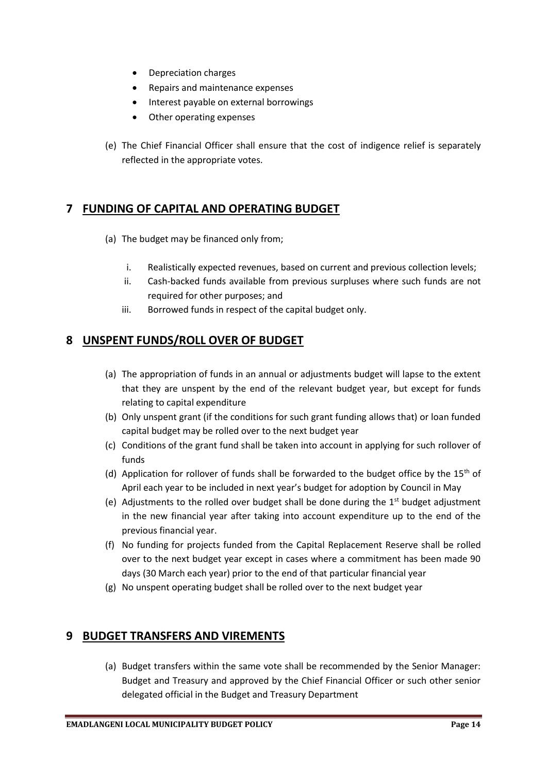- Depreciation charges
- Repairs and maintenance expenses
- Interest payable on external borrowings
- Other operating expenses
- (e) The Chief Financial Officer shall ensure that the cost of indigence relief is separately reflected in the appropriate votes.

# **7 FUNDING OF CAPITAL AND OPERATING BUDGET**

- (a) The budget may be financed only from;
	- i. Realistically expected revenues, based on current and previous collection levels;
	- ii. Cash-backed funds available from previous surpluses where such funds are not required for other purposes; and
	- iii. Borrowed funds in respect of the capital budget only.

# **8 UNSPENT FUNDS/ROLL OVER OF BUDGET**

- (a) The appropriation of funds in an annual or adjustments budget will lapse to the extent that they are unspent by the end of the relevant budget year, but except for funds relating to capital expenditure
- (b) Only unspent grant (if the conditions for such grant funding allows that) or loan funded capital budget may be rolled over to the next budget year
- (c) Conditions of the grant fund shall be taken into account in applying for such rollover of funds
- (d) Application for rollover of funds shall be forwarded to the budget office by the  $15<sup>th</sup>$  of April each year to be included in next year's budget for adoption by Council in May
- (e) Adjustments to the rolled over budget shall be done during the  $1<sup>st</sup>$  budget adjustment in the new financial year after taking into account expenditure up to the end of the previous financial year.
- (f) No funding for projects funded from the Capital Replacement Reserve shall be rolled over to the next budget year except in cases where a commitment has been made 90 days (30 March each year) prior to the end of that particular financial year
- (g) No unspent operating budget shall be rolled over to the next budget year

# **9 BUDGET TRANSFERS AND VIREMENTS**

(a) Budget transfers within the same vote shall be recommended by the Senior Manager: Budget and Treasury and approved by the Chief Financial Officer or such other senior delegated official in the Budget and Treasury Department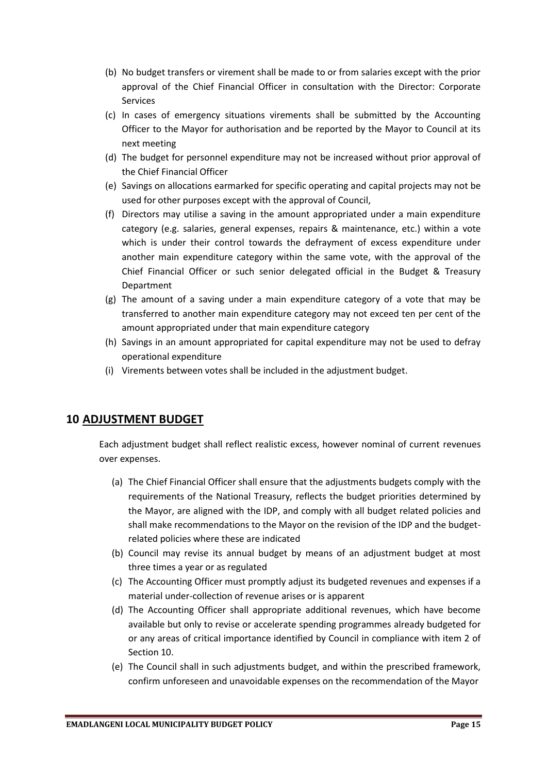- (b) No budget transfers or virement shall be made to or from salaries except with the prior approval of the Chief Financial Officer in consultation with the Director: Corporate Services
- (c) In cases of emergency situations virements shall be submitted by the Accounting Officer to the Mayor for authorisation and be reported by the Mayor to Council at its next meeting
- (d) The budget for personnel expenditure may not be increased without prior approval of the Chief Financial Officer
- (e) Savings on allocations earmarked for specific operating and capital projects may not be used for other purposes except with the approval of Council,
- (f) Directors may utilise a saving in the amount appropriated under a main expenditure category (e.g. salaries, general expenses, repairs & maintenance, etc.) within a vote which is under their control towards the defrayment of excess expenditure under another main expenditure category within the same vote, with the approval of the Chief Financial Officer or such senior delegated official in the Budget & Treasury Department
- (g) The amount of a saving under a main expenditure category of a vote that may be transferred to another main expenditure category may not exceed ten per cent of the amount appropriated under that main expenditure category
- (h) Savings in an amount appropriated for capital expenditure may not be used to defray operational expenditure
- (i) Virements between votes shall be included in the adjustment budget.

# **10 ADJUSTMENT BUDGET**

Each adjustment budget shall reflect realistic excess, however nominal of current revenues over expenses.

- (a) The Chief Financial Officer shall ensure that the adjustments budgets comply with the requirements of the National Treasury, reflects the budget priorities determined by the Mayor, are aligned with the IDP, and comply with all budget related policies and shall make recommendations to the Mayor on the revision of the IDP and the budgetrelated policies where these are indicated
- (b) Council may revise its annual budget by means of an adjustment budget at most three times a year or as regulated
- (c) The Accounting Officer must promptly adjust its budgeted revenues and expenses if a material under-collection of revenue arises or is apparent
- (d) The Accounting Officer shall appropriate additional revenues, which have become available but only to revise or accelerate spending programmes already budgeted for or any areas of critical importance identified by Council in compliance with item 2 of Section 10.
- (e) The Council shall in such adjustments budget, and within the prescribed framework, confirm unforeseen and unavoidable expenses on the recommendation of the Mayor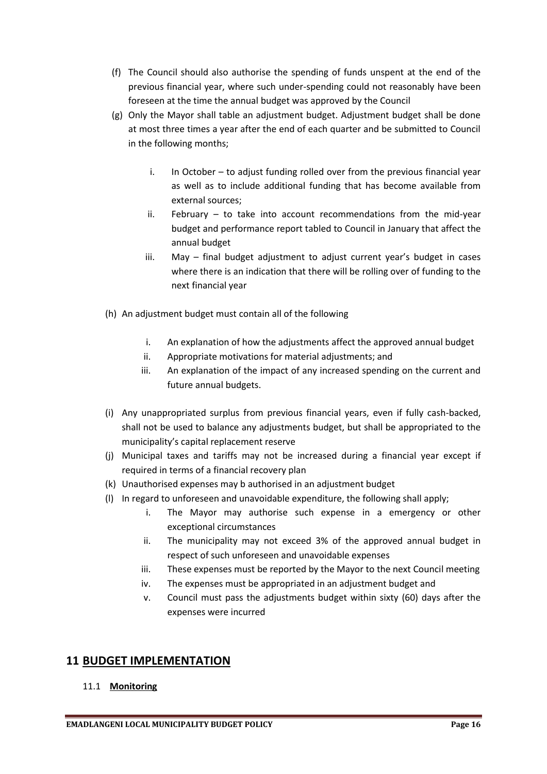- (f) The Council should also authorise the spending of funds unspent at the end of the previous financial year, where such under-spending could not reasonably have been foreseen at the time the annual budget was approved by the Council
- (g) Only the Mayor shall table an adjustment budget. Adjustment budget shall be done at most three times a year after the end of each quarter and be submitted to Council in the following months;
	- i. In October to adjust funding rolled over from the previous financial year as well as to include additional funding that has become available from external sources;
	- ii. February to take into account recommendations from the mid-year budget and performance report tabled to Council in January that affect the annual budget
	- iii. May final budget adjustment to adjust current year's budget in cases where there is an indication that there will be rolling over of funding to the next financial year
- (h) An adjustment budget must contain all of the following
	- i. An explanation of how the adjustments affect the approved annual budget
	- ii. Appropriate motivations for material adjustments; and
	- iii. An explanation of the impact of any increased spending on the current and future annual budgets.
- (i) Any unappropriated surplus from previous financial years, even if fully cash-backed, shall not be used to balance any adjustments budget, but shall be appropriated to the municipality's capital replacement reserve
- (j) Municipal taxes and tariffs may not be increased during a financial year except if required in terms of a financial recovery plan
- (k) Unauthorised expenses may b authorised in an adjustment budget
- (l) In regard to unforeseen and unavoidable expenditure, the following shall apply;
	- i. The Mayor may authorise such expense in a emergency or other exceptional circumstances
	- ii. The municipality may not exceed 3% of the approved annual budget in respect of such unforeseen and unavoidable expenses
	- iii. These expenses must be reported by the Mayor to the next Council meeting
	- iv. The expenses must be appropriated in an adjustment budget and
	- v. Council must pass the adjustments budget within sixty (60) days after the expenses were incurred

# **11 BUDGET IMPLEMENTATION**

## 11.1 **Monitoring**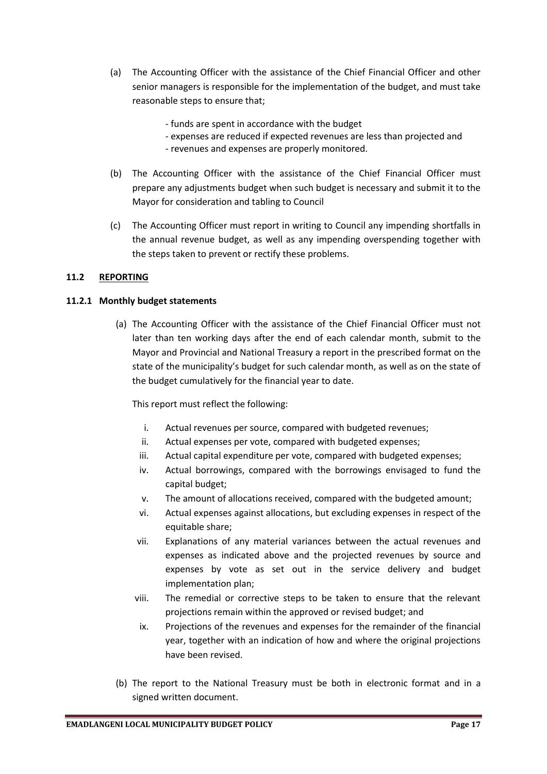- (a) The Accounting Officer with the assistance of the Chief Financial Officer and other senior managers is responsible for the implementation of the budget, and must take reasonable steps to ensure that;
	- funds are spent in accordance with the budget
	- expenses are reduced if expected revenues are less than projected and
	- revenues and expenses are properly monitored.
- (b) The Accounting Officer with the assistance of the Chief Financial Officer must prepare any adjustments budget when such budget is necessary and submit it to the Mayor for consideration and tabling to Council
- (c) The Accounting Officer must report in writing to Council any impending shortfalls in the annual revenue budget, as well as any impending overspending together with the steps taken to prevent or rectify these problems.

#### **11.2 REPORTING**

#### **11.2.1 Monthly budget statements**

(a) The Accounting Officer with the assistance of the Chief Financial Officer must not later than ten working days after the end of each calendar month, submit to the Mayor and Provincial and National Treasury a report in the prescribed format on the state of the municipality's budget for such calendar month, as well as on the state of the budget cumulatively for the financial year to date.

This report must reflect the following:

- i. Actual revenues per source, compared with budgeted revenues;
- ii. Actual expenses per vote, compared with budgeted expenses;
- iii. Actual capital expenditure per vote, compared with budgeted expenses;
- iv. Actual borrowings, compared with the borrowings envisaged to fund the capital budget;
- v. The amount of allocations received, compared with the budgeted amount;
- vi. Actual expenses against allocations, but excluding expenses in respect of the equitable share;
- vii. Explanations of any material variances between the actual revenues and expenses as indicated above and the projected revenues by source and expenses by vote as set out in the service delivery and budget implementation plan;
- viii. The remedial or corrective steps to be taken to ensure that the relevant projections remain within the approved or revised budget; and
- ix. Projections of the revenues and expenses for the remainder of the financial year, together with an indication of how and where the original projections have been revised.
- (b) The report to the National Treasury must be both in electronic format and in a signed written document.